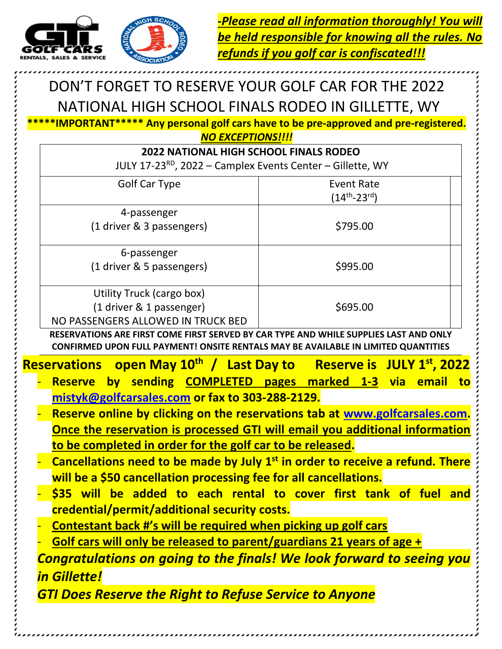

*-Please read all information thoroughly! You will be held responsible for knowing all the rules. No refunds if you golf car is confiscated!!!*

# DON'T FORGET TO RESERVE YOUR GOLF CAR FOR THE 2022 NATIONAL HIGH SCHOOL FINALS RODEO IN GILLETTE, WY

**\*\*\*\*\*IMPORTANT\*\*\*\*\* Any personal golf cars have to be pre-approved and pre-registered.** *NO EXCEPTIONS!!!!*

# **2022 NATIONAL HIGH SCHOOL FINALS RODEO**

JULY 17-23<sup>RD</sup>, 2022 – Camplex Events Center – Gillette, WY

| <b>Golf Car Type</b>                                  | Event Rate<br>$(14^{th} - 23^{rd})$ |
|-------------------------------------------------------|-------------------------------------|
| 4-passenger<br>(1 driver & 3 passengers)              | \$795.00                            |
| 6-passenger<br>(1 driver & 5 passengers)              | \$995.00                            |
| Utility Truck (cargo box)<br>(1 driver & 1 passenger) | \$695.00                            |

NO PASSENGERS ALLOWED IN TRUCK BED

**RESERVATIONS ARE FIRST COME FIRST SERVED BY CAR TYPE AND WHILE SUPPLIES LAST AND ONLY CONFIRMED UPON FULL PAYMENT! ONSITE RENTALS MAY BE AVAILABLE IN LIMITED QUANTITIES**

- **Reservations open May 10 th / Last Day to Reserve is JULY 1 st, 2022** - **Reserve by sending COMPLETED pages marked 1-3 via email to [mistyk@golfcarsales.com](mailto:mistyk@golfcarsales.com) or fax to 303-288-2129.** 
	- **Reserve online by clicking on the reservations tab at [www.golfcarsales.com.](http://www.golfcarsales.com/) Once the reservation is processed GTI will email you additional information to be completed in order for the golf car to be released.**
	- **Cancellations need to be made by July 1 st in order to receive a refund. There will be a \$50 cancellation processing fee for all cancellations.**
	- **\$35 will be added to each rental to cover first tank of fuel and credential/permit/additional security costs.** 
		- **Contestant back #'s will be required when picking up golf cars**
		- **Golf cars will only be released to parent/guardians 21 years of age +**

*Congratulations on going to the finals! We look forward to seeing you in Gillette!* 

*GTI Does Reserve the Right to Refuse Service to Anyone*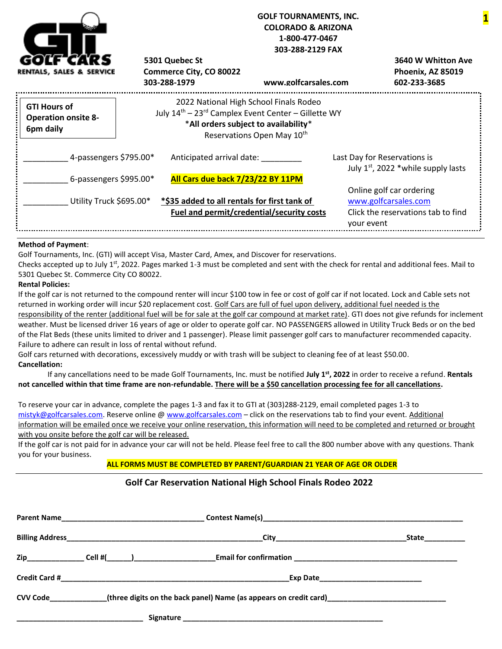| 'F'CARS<br>RENTALS, SALES & SERVICE                            | <b>GOLF TOURNAMENTS, INC.</b><br><b>COLORADO &amp; ARIZONA</b><br>1-800-477-0467<br>303-288-2129 FAX<br>3640 W Whitton Ave<br>5301 Quebec St<br>Commerce City, CO 80022<br>Phoenix, AZ 85019<br>www.golfcarsales.com<br>303-288-1979<br>602-233-3685 |                                                                                                                                                                                             |                                                                                                      |  |
|----------------------------------------------------------------|------------------------------------------------------------------------------------------------------------------------------------------------------------------------------------------------------------------------------------------------------|---------------------------------------------------------------------------------------------------------------------------------------------------------------------------------------------|------------------------------------------------------------------------------------------------------|--|
| <b>GTI Hours of</b><br><b>Operation onsite 8-</b><br>6pm daily |                                                                                                                                                                                                                                                      | 2022 National High School Finals Rodeo<br>July 14 <sup>th</sup> - 23 <sup>rd</sup> Camplex Event Center - Gillette WY<br>*All orders subject to availability*<br>Reservations Open May 10th |                                                                                                      |  |
| 4-passengers \$795.00*                                         | Anticipated arrival date:                                                                                                                                                                                                                            |                                                                                                                                                                                             | Last Day for Reservations is<br>July $1st$ , 2022 *while supply lasts                                |  |
| 6-passengers \$995.00*<br>Utility Truck \$695.00*              | All Cars due back 7/23/22 BY 11PM<br>*\$35 added to all rentals for first tank of                                                                                                                                                                    | Fuel and permit/credential/security costs                                                                                                                                                   | Online golf car ordering<br>www.golfcarsales.com<br>Click the reservations tab to find<br>your event |  |

#### **Method of Payment**:

Golf Tournaments, Inc. (GTI) will accept Visa, Master Card, Amex, and Discover for reservations.

Checks accepted up to July 1<sup>st</sup>, 2022. Pages marked 1-3 must be completed and sent with the check for rental and additional fees. Mail to 5301 Quebec St. Commerce City CO 80022.

#### **Rental Policies:**

If the golf car is not returned to the compound renter will incur \$100 tow in fee or cost of golf car if not located. Lock and Cable sets not returned in working order will incur \$20 replacement cost. Golf Cars are full of fuel upon delivery, additional fuel needed is the responsibility of the renter (additional fuel will be for sale at the golf car compound at market rate). GTI does not give refunds for inclement weather. Must be licensed driver 16 years of age or older to operate golf car. NO PASSENGERS allowed in Utility Truck Beds or on the bed of the Flat Beds (these units limited to driver and 1 passenger). Please limit passenger golf cars to manufacturer recommended capacity. Failure to adhere can result in loss of rental without refund.

Golf cars returned with decorations, excessively muddy or with trash will be subject to cleaning fee of at least \$50.00. **Cancellation:**

If any cancellations need to be made Golf Tournaments, Inc. must be notified **July 1 st, 2022** in order to receive a refund. **Rentals not cancelled within that time frame are non-refundable. There will be a \$50 cancellation processing fee for all cancellations.**

To reserve your car in advance, complete the pages 1-3 and fax it to GTI at (303)288-2129, email completed pages 1-3 to [mistyk@golfcarsales.com.](mailto:mistyk@golfcarsales.com) Reserve online [@ www.golfcarsales.com](http://www.golfcarsales.com/) - click on the reservations tab to find your event. Additional information will be emailed once we receive your online reservation, this information will need to be completed and returned or brought with you onsite before the golf car will be released.

If the golf car is not paid for in advance your car will not be held. Please feel free to call the 800 number above with any questions. Thank you for your business.

## **ALL FORMS MUST BE COMPLETED BY PARENT/GUARDIAN 21 YEAR OF AGE OR OLDER**

#### **Golf Car Reservation National High School Finals Rodeo 2022**

|  |                                                                            | State___________ |
|--|----------------------------------------------------------------------------|------------------|
|  |                                                                            |                  |
|  |                                                                            | Exp Date         |
|  | CVV Code (three digits on the back panel) Name (as appears on credit card) |                  |
|  |                                                                            |                  |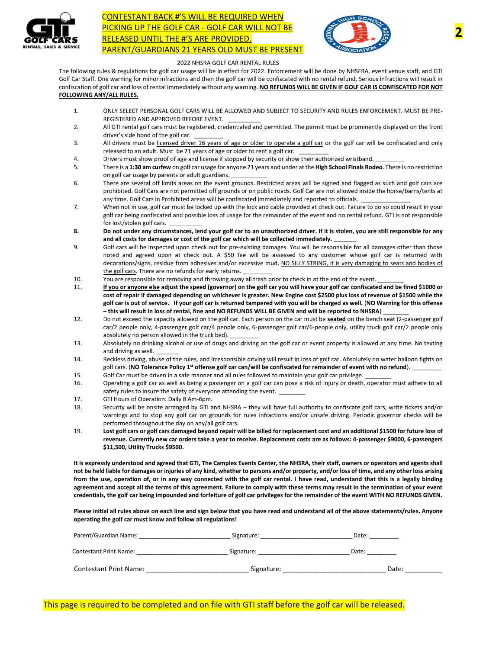

# CONTESTANT BACK #'S WILL BE REQUIRED WHEN PICKING UP THE GOLF CAR - GOLF CAR WILL NOT BE RELEASED UNTIL THE #'S ARE PROVIDED. PARENT/GUARDIANS 21 YEARS OLD MUST BE PRESENT



#### 2022 NHSRA GOLF CAR RENTAL RULES

The following rules & regulations for golf car usage will be in effect for 2022. Enforcement will be done by NHSFRA, event venue staff, and GTI Golf Car Staff. One warning for minor infractions and then the golf car will be confiscated with no rental refund. Serious infractions will result in confiscation of golf car and loss of rental immediately without any warning. **NO REFUNDS WILL BE GIVEN IF GOLF CAR IS CONFISCATED FOR NOT FOLLOWING ANY/ALL RULES.**

- 1. ONLY SELECT PERSONAL GOLF CARS WILL BE ALLOWED AND SUBJECT TO SECURITY AND RULES ENFORCEMENT. MUST BE PRE-REGISTERED AND APPROVED BEFORE EVENT.
- 2. All GTI rental golf cars must be registered, credentialed and permitted. The permit must be prominently displayed on the front driver's side hood of the golf car. \_
- 3. All drivers must be licensed driver 16 years of age or older to operate a golf car or the golf car will be confiscated and only released to an adult. Must be 21 years of age or older to rent a golf car.
- 4. Drivers must show proof of age and license if stopped by security or show their authorized wristband.<br>5. There is a 1:30 am curfew on golf car usage for anyone 21 years and under at the High School Finals Roc
- 5. There is a **1:30 am curfew** on golf car usage for anyone 21 years and under at the **High School Finals Rodeo**. There is no restriction on golf car usage by parents or adult guardians.
- 6. There are several off limits areas on the event grounds. Restricted areas will be signed and flagged as such and golf cars are prohibited. Golf Cars are not permitted off grounds or on public roads. Golf Car are not allowed inside the horse/barns/tents at any time. Golf Cars in Prohibited areas will be confiscated immediately and reported to officials.
- 7. When not in use, golf car must be locked up with the lock and cable provided at check out. Failure to do so could result in your golf car being confiscated and possible loss of usage for the remainder of the event and no rental refund. GTI is not responsible for lost/stolen golf cars.
- **8. Do not under any circumstances, lend your golf car to an unauthorized driver. If it is stolen, you are still responsible for any**  and all costs for damages or cost of the golf car which will be collected immediately. \_
- 9. Golf cars will be inspected upon check out for pre-existing damages. You will be responsible for all damages other than those noted and agreed upon at check out. A \$50 fee will be assessed to any customer whose golf car is returned with decorations/signs, residue from adhesives and/or excessive mud. NO SILLY STRING, it is very damaging to seats and bodies of the golf cars. There are no refunds for early returns.
- 10. You are responsible for removing and throwing away all trash prior to check in at the end of the event.
- 11. **If you or anyone else adjust the speed (governor) on the golf car you will have your golf car confiscated and be fined \$1000 or cost of repair if damaged depending on whichever is greater. New Engine cost \$2500 plus loss of revenue of \$1500 while the golf car is out of service. If your golf car is returned tampered with you will be charged as well.** (**NO Warning for this offense – this will result in loss of rental, fine and NO REFUNDS WILL BE GIVEN and will be reported to NHSRA**) \_\_\_\_\_\_\_\_
- 12. Do not exceed the capacity allowed on the golf car. Each person on the car must be **seated** on the bench seat (2-passenger golf car/2 people only, 4-passenger golf car/4 people only, 6-passenger golf car/6-people only, utility truck golf car/2 people only absolutely no person allowed in the truck bed).
- 13. Absolutely no drinking alcohol or use of drugs and driving on the golf car or event property is allowed at any time. No texting and driving as well.
- 14. Reckless driving, abuse of the rules, and irresponsible driving will result in loss of golf car. Absolutely no water balloon fights on golf cars. (**NO Tolerance Policy 1st offense golf car can/will be confiscated for remainder of event with no refund**). \_\_\_\_\_\_\_\_\_
- 15. Golf Car must be driven in a safe manner and all rules followed to maintain your golf car privilege.
- 16. Operating a golf car as well as being a passenger on a golf car can pose a risk of injury or death, operator must adhere to all safety rules to insure the safety of everyone attending the event.
- 17. GTI Hours of Operation: Daily 8 Am-6pm.
- 18. Security will be onsite arranged by GTI and NHSRA they will have full authority to confiscate golf cars, write tickets and/or warnings and to stop any golf car on grounds for rules infractions and/or unsafe driving. Periodic governor checks will be performed throughout the day on any/all golf cars.
- 19. **Lost golf cars or golf cars damaged beyond repair will be billed for replacement cost and an additional \$1500 for future loss of revenue. Currently new car orders take a year to receive. Replacement costs are as follows: 4-passenger \$9000, 6-passengers \$11,500, Utility Trucks \$9500.**

**It is expressly understood and agreed that GTI, The Camplex Events Center, the NHSRA, their staff, owners or operators and agents shall not be held liable for damages or injuries of any kind, whether to persons and/or property, and/or loss of time, and any other loss arising from the use, operation of, or in any way connected with the golf car rental. I have read, understand that this is a legally binding agreement and accept all the terms of this agreement. Failure to comply with these terms may result in the termination of your event credentials, the golf car being impounded and forfeiture of golf car privileges for the remainder of the event WITH NO REFUNDS GIVEN.** 

**Please initial all rules above on each line and sign below that you have read and understand all of the above statements/rules. Anyone operating the golf car must know and follow all regulations!**

| Parent/Guardian Name:         | Signature: | Date: |  |
|-------------------------------|------------|-------|--|
| <b>Contestant Print Name:</b> | Signature: | Date: |  |
| <b>Contestant Print Name:</b> | Signature: | Date: |  |